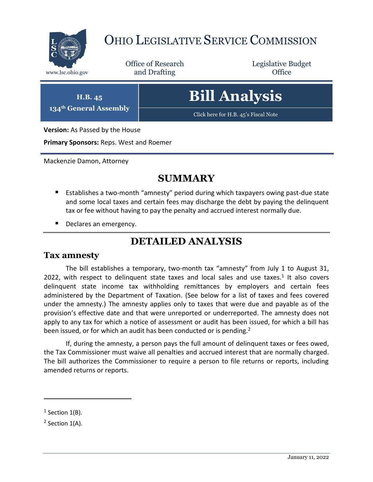

# OHIO LEGISLATIVE SERVICE COMMISSION

Office of Research www.lsc.ohio.gov **and Drafting Office** 

Legislative Budget

**H.B. 45 134th General Assembly**

# **Bill Analysis**

[Click here for H.B. 45](https://www.legislature.ohio.gov/legislation/legislation-documents?id=GA134-HB-45)'s Fiscal Note

**Version:** As Passed by the House

**Primary Sponsors:** Reps. West and Roemer

Mackenzie Damon, Attorney

## **SUMMARY**

- Establishes a two-month "amnesty" period during which taxpayers owing past-due state and some local taxes and certain fees may discharge the debt by paying the delinquent tax or fee without having to pay the penalty and accrued interest normally due.
- Declares an emergency.

## **DETAILED ANALYSIS**

#### **Tax amnesty**

The bill establishes a temporary, two-month tax "amnesty" from July 1 to August 31, 2022, with respect to delinquent state taxes and local sales and use taxes.<sup>1</sup> It also covers delinquent state income tax withholding remittances by employers and certain fees administered by the Department of Taxation. (See below for a list of taxes and fees covered under the amnesty.) The amnesty applies only to taxes that were due and payable as of the provision's effective date and that were unreported or underreported. The amnesty does not apply to any tax for which a notice of assessment or audit has been issued, for which a bill has been issued, or for which an audit has been conducted or is pending. $2$ 

If, during the amnesty, a person pays the full amount of delinquent taxes or fees owed, the Tax Commissioner must waive all penalties and accrued interest that are normally charged. The bill authorizes the Commissioner to require a person to file returns or reports, including amended returns or reports.

 $\overline{a}$ 

 $<sup>1</sup>$  Section 1(B).</sup>

 $2$  Section 1(A).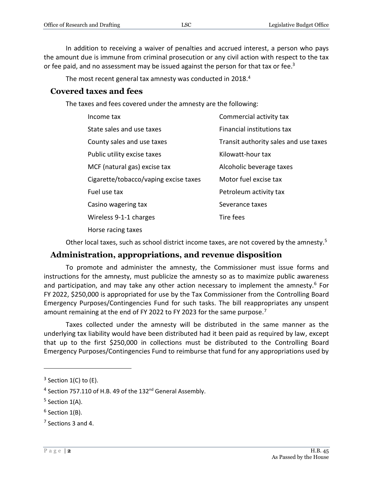In addition to receiving a waiver of penalties and accrued interest, a person who pays the amount due is immune from criminal prosecution or any civil action with respect to the tax or fee paid, and no assessment may be issued against the person for that tax or fee.<sup>3</sup>

The most recent general tax amnesty was conducted in 2018.<sup>4</sup>

#### **Covered taxes and fees**

The taxes and fees covered under the amnesty are the following:

| Income tax                            | Commercial activity tax               |
|---------------------------------------|---------------------------------------|
| State sales and use taxes             | Financial institutions tax            |
| County sales and use taxes            | Transit authority sales and use taxes |
| Public utility excise taxes           | Kilowatt-hour tax                     |
| MCF (natural gas) excise tax          | Alcoholic beverage taxes              |
| Cigarette/tobacco/vaping excise taxes | Motor fuel excise tax                 |
| Fuel use tax                          | Petroleum activity tax                |
| Casino wagering tax                   | Severance taxes                       |
| Wireless 9-1-1 charges                | Tire fees                             |
| Horse racing taxes                    |                                       |

Other local taxes, such as school district income taxes, are not covered by the amnesty.<sup>5</sup>

### **Administration, appropriations, and revenue disposition**

To promote and administer the amnesty, the Commissioner must issue forms and instructions for the amnesty, must publicize the amnesty so as to maximize public awareness and participation, and may take any other action necessary to implement the amnesty.<sup>6</sup> For FY 2022, \$250,000 is appropriated for use by the Tax Commissioner from the Controlling Board Emergency Purposes/Contingencies Fund for such tasks. The bill reappropriates any unspent amount remaining at the end of FY 2022 to FY 2023 for the same purpose.<sup>7</sup>

Taxes collected under the amnesty will be distributed in the same manner as the underlying tax liability would have been distributed had it been paid as required by law, except that up to the first \$250,000 in collections must be distributed to the Controlling Board Emergency Purposes/Contingencies Fund to reimburse that fund for any appropriations used by

 $\overline{a}$ 

 $3$  Section 1(C) to (E).

<sup>&</sup>lt;sup>4</sup> Section 757.110 of H.B. 49 of the 132<sup>nd</sup> General Assembly.

 $<sup>5</sup>$  Section 1(A).</sup>

 $<sup>6</sup>$  Section 1(B).</sup>

 $7$  Sections 3 and 4.